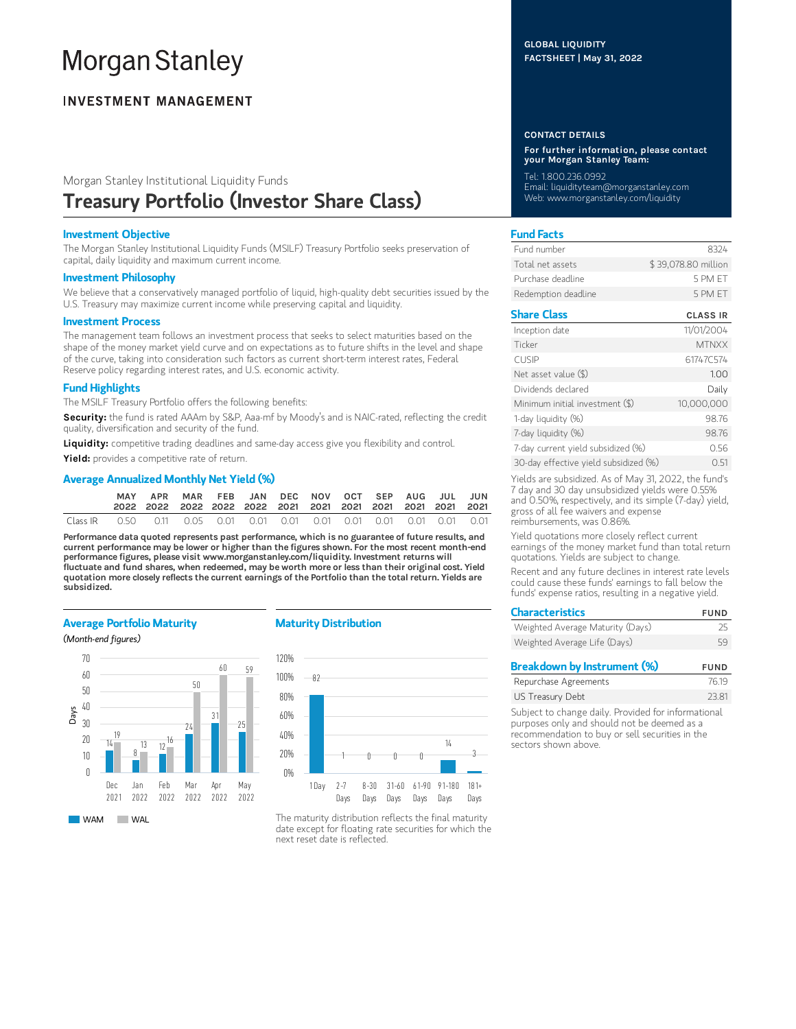# **Morgan Stanley**

# **INVESTMENT MANAGEMENT**

# Morgan Stanley Institutional Liquidity Funds Treasury Portfolio (Investor Share Class)

## Investment Objective

The Morgan Stanley Institutional Liquidity Funds (MSILF) Treasury Portfolio seeks preservation of capital, daily liquidity and maximum current income.

#### Investment Philosophy

We believe that a conservatively managed portfolio of liquid, high-quality debt securities issued by the U.S. Treasury may maximize current income while preserving capital and liquidity.

#### Investment Process

The management team follows an investment process that seeks to select maturities based on the shape of the money market yield curve and on expectations as to future shifts in the level and shape of the curve, taking into consideration such factors as current short-term interest rates, Federal Reserve policy regarding interest rates, and U.S. economic activity.

# Fund Highlights

The MSILF Treasury Portfolio offers the following benefits:

Security: the fund is rated AAAm by S&P, Aaa-mf by Moody's and is NAIC-rated, reflecting the credit quality, diversification and security of the fund.

Liquidity: competitive trading deadlines and same-day access give you flexibility and control.

Yield: provides a competitive rate of return.

# Average Annualized Monthly Net Yield (%)

|          | APR |  | MAR FEB JAN DEC NOV OCT SEP AUG JUL JUN |  |  |  |  |
|----------|-----|--|-----------------------------------------|--|--|--|--|
| Class IR |     |  |                                         |  |  |  |  |

Performance data quoted represents past performance, which is no guarantee of future results, and current performance may be lower or higher than the figures shown. For the most recent month-end performance figures, please visit www.morganstanley.com/liquidity. Investment returns will fluctuate and fund shares, when redeemed, may be worth more or less than their original cost. Yield quotation more closely reflects the current earnings of the Portfolio than the total return. Yields are subsidized.

## Average Portfolio Maturity

(Month-end figures)



## Maturity Distribution



The maturity distribution reflects the final maturity date except for floating rate securities for which the next reset date is reflected.

#### CONTACT DETAILS

For further information, please contact your Morgan Stanley Team:

Tel: 1.800.236.0992 Email: liquidityteam@morganstanley.com Web: www.morganstanley.com/liquidity

# Fund Facts

| Fund number         | 8324                |
|---------------------|---------------------|
| Total net assets    | \$39,078.80 million |
| Purchase deadline   | 5 PM FT             |
| Redemption deadline | 5 PM FT             |

# Share Class CLASS IR

| Inception date                        | 11/01/2004   |
|---------------------------------------|--------------|
| Ticker                                | <b>MTNXX</b> |
| <b>CUSIP</b>                          | 61747C574    |
| Net asset value (\$)                  | 1.00         |
| Dividends declared                    | Daily        |
| Minimum initial investment (\$)       | 10,000,000   |
| 1-day liquidity (%)                   | 98.76        |
| 7-day liquidity (%)                   | 98.76        |
| 7-day current yield subsidized (%)    | 0.56         |
| 30-day effective yield subsidized (%) | 051          |

Yields are subsidized. As of May 31, 2022, the fund's 7 day and 30 day unsubsidized yields were 0.55% and 0.50%, respectively, and its simple (7-day) yield, gross of all fee waivers and expense reimbursements, was 0.86%.

Yield quotations more closely reflect current earnings of the money market fund than total return quotations. Yields are subject to change.

Recent and any future declines in interest rate levels could cause these funds' earnings to fall below the funds' expense ratios, resulting in a negative yield.

| <b>Characteristics</b>           | <b>FUND</b> |
|----------------------------------|-------------|
| Weighted Average Maturity (Days) | 25          |
| Weighted Average Life (Days)     | 59          |

| Breakdown by Instrument (%) | <b>FUND</b> |
|-----------------------------|-------------|
| Repurchase Agreements       | 76.19       |
| US Treasury Debt            | 23.81       |
|                             |             |

Subject to change daily. Provided for informational purposes only and should not be deemed as a recommendation to buy or sell securities in the sectors shown above.